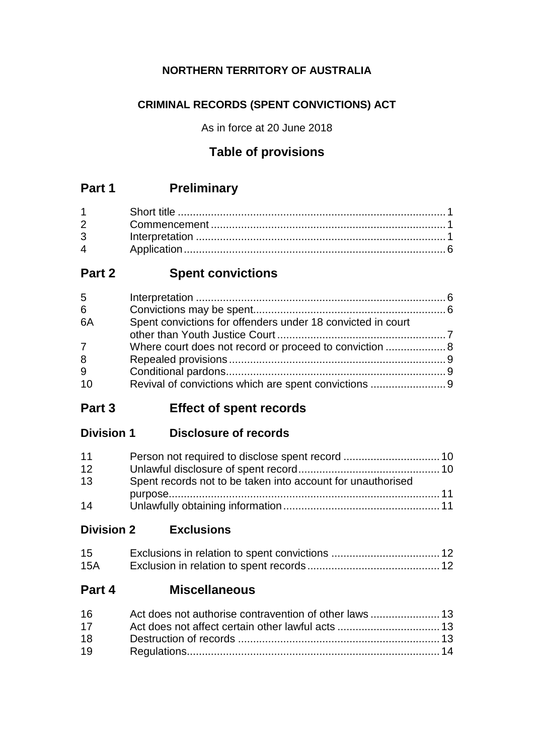# **NORTHERN TERRITORY OF AUSTRALIA**

# **CRIMINAL RECORDS (SPENT CONVICTIONS) ACT**

As in force at 20 June 2018

# **Table of provisions**

# **Part 1 Preliminary**

# **Part 2 Spent convictions**

| 5           |                                                             |  |
|-------------|-------------------------------------------------------------|--|
| 6           |                                                             |  |
| 6A          | Spent convictions for offenders under 18 convicted in court |  |
|             |                                                             |  |
| $7^{\circ}$ |                                                             |  |
| 8           |                                                             |  |
| 9           |                                                             |  |
| 10          |                                                             |  |

**Part 3 Effect of spent records**

# **Division 1 Disclosure of records**

| 11 |                                                             |  |
|----|-------------------------------------------------------------|--|
| 12 |                                                             |  |
| 13 | Spent records not to be taken into account for unauthorised |  |
|    |                                                             |  |
| 14 |                                                             |  |

**Division 2 Exclusions**

| 15  |  |
|-----|--|
| 15A |  |

# **Part 4 Miscellaneous**

| 16 |  |
|----|--|
| 17 |  |
| 18 |  |
| 19 |  |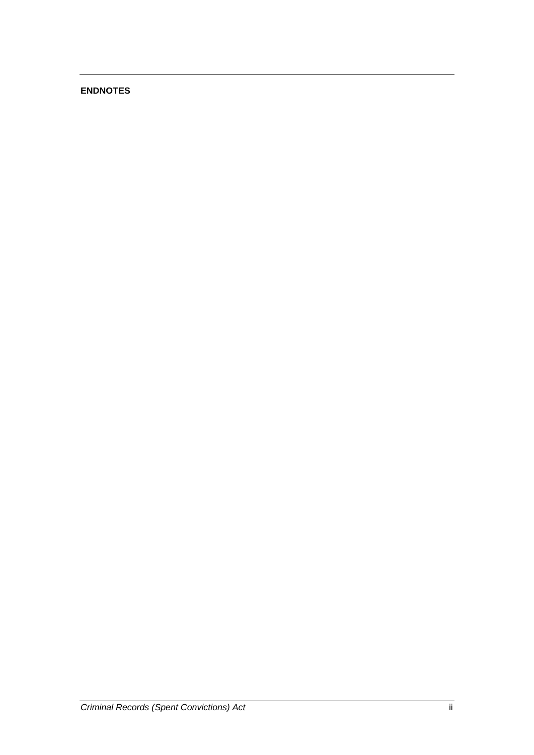## **ENDNOTES**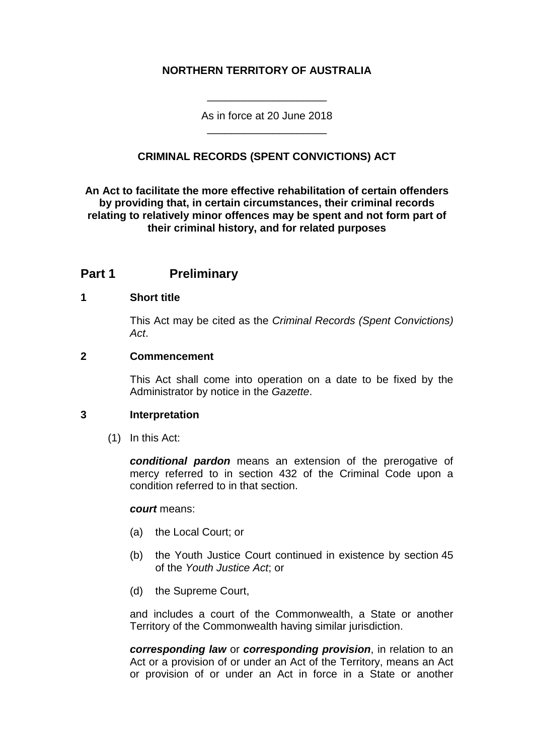## **NORTHERN TERRITORY OF AUSTRALIA**

As in force at 20 June 2018 \_\_\_\_\_\_\_\_\_\_\_\_\_\_\_\_\_\_\_\_

\_\_\_\_\_\_\_\_\_\_\_\_\_\_\_\_\_\_\_\_

## **CRIMINAL RECORDS (SPENT CONVICTIONS) ACT**

**An Act to facilitate the more effective rehabilitation of certain offenders by providing that, in certain circumstances, their criminal records relating to relatively minor offences may be spent and not form part of their criminal history, and for related purposes**

## **Part 1 Preliminary**

## **1 Short title**

This Act may be cited as the *Criminal Records (Spent Convictions) Act*.

## **2 Commencement**

This Act shall come into operation on a date to be fixed by the Administrator by notice in the *Gazette*.

#### **3 Interpretation**

(1) In this Act:

*conditional pardon* means an extension of the prerogative of mercy referred to in section 432 of the Criminal Code upon a condition referred to in that section.

#### *court* means:

- (a) the Local Court; or
- (b) the Youth Justice Court continued in existence by section 45 of the *Youth Justice Act*; or
- (d) the Supreme Court,

and includes a court of the Commonwealth, a State or another Territory of the Commonwealth having similar jurisdiction.

*corresponding law* or *corresponding provision*, in relation to an Act or a provision of or under an Act of the Territory, means an Act or provision of or under an Act in force in a State or another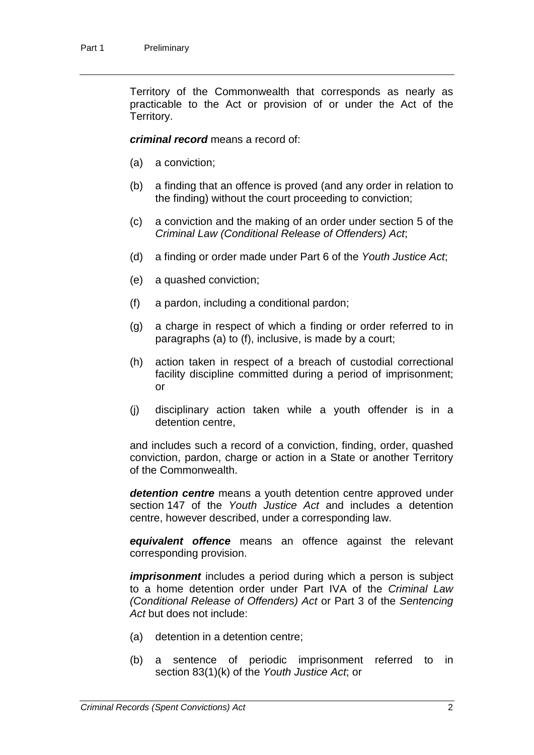Territory of the Commonwealth that corresponds as nearly as practicable to the Act or provision of or under the Act of the Territory.

*criminal record* means a record of:

- (a) a conviction;
- (b) a finding that an offence is proved (and any order in relation to the finding) without the court proceeding to conviction;
- (c) a conviction and the making of an order under section 5 of the *Criminal Law (Conditional Release of Offenders) Act*;
- (d) a finding or order made under Part 6 of the *Youth Justice Act*;
- (e) a quashed conviction;
- (f) a pardon, including a conditional pardon;
- (g) a charge in respect of which a finding or order referred to in paragraphs (a) to (f), inclusive, is made by a court;
- (h) action taken in respect of a breach of custodial correctional facility discipline committed during a period of imprisonment; or
- (j) disciplinary action taken while a youth offender is in a detention centre,

and includes such a record of a conviction, finding, order, quashed conviction, pardon, charge or action in a State or another Territory of the Commonwealth.

*detention centre* means a youth detention centre approved under section 147 of the *Youth Justice Act* and includes a detention centre, however described, under a corresponding law.

*equivalent offence* means an offence against the relevant corresponding provision.

*imprisonment* includes a period during which a person is subject to a home detention order under Part IVA of the *Criminal Law (Conditional Release of Offenders) Act* or Part 3 of the *Sentencing Act* but does not include:

- (a) detention in a detention centre;
- (b) a sentence of periodic imprisonment referred to in section 83(1)(k) of the *Youth Justice Act*; or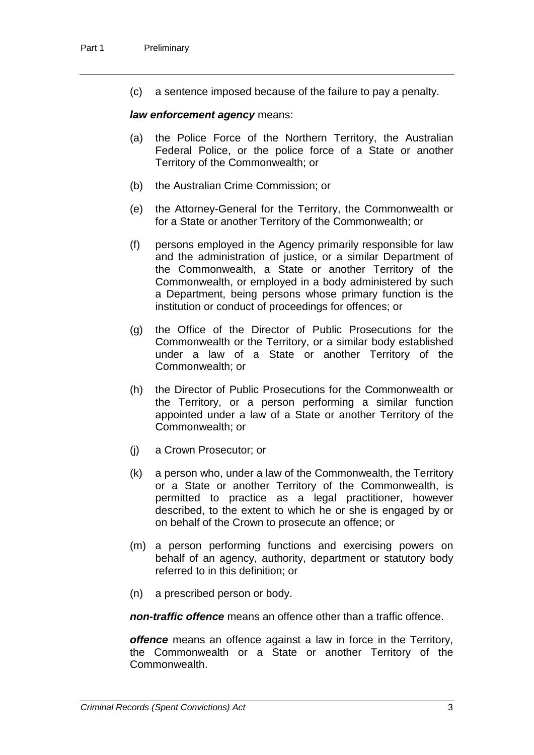(c) a sentence imposed because of the failure to pay a penalty.

## *law enforcement agency* means:

- (a) the Police Force of the Northern Territory, the Australian Federal Police, or the police force of a State or another Territory of the Commonwealth; or
- (b) the Australian Crime Commission; or
- (e) the Attorney-General for the Territory, the Commonwealth or for a State or another Territory of the Commonwealth; or
- (f) persons employed in the Agency primarily responsible for law and the administration of justice, or a similar Department of the Commonwealth, a State or another Territory of the Commonwealth, or employed in a body administered by such a Department, being persons whose primary function is the institution or conduct of proceedings for offences; or
- (g) the Office of the Director of Public Prosecutions for the Commonwealth or the Territory, or a similar body established under a law of a State or another Territory of the Commonwealth; or
- (h) the Director of Public Prosecutions for the Commonwealth or the Territory, or a person performing a similar function appointed under a law of a State or another Territory of the Commonwealth; or
- (j) a Crown Prosecutor; or
- (k) a person who, under a law of the Commonwealth, the Territory or a State or another Territory of the Commonwealth, is permitted to practice as a legal practitioner, however described, to the extent to which he or she is engaged by or on behalf of the Crown to prosecute an offence; or
- (m) a person performing functions and exercising powers on behalf of an agency, authority, department or statutory body referred to in this definition; or
- (n) a prescribed person or body.

*non-traffic offence* means an offence other than a traffic offence.

*offence* means an offence against a law in force in the Territory, the Commonwealth or a State or another Territory of the Commonwealth.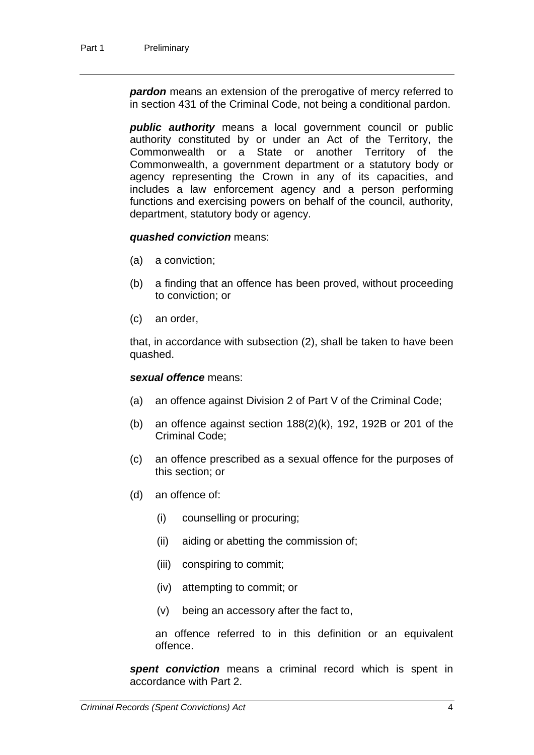*pardon* means an extension of the prerogative of mercy referred to in section 431 of the Criminal Code, not being a conditional pardon.

*public authority* means a local government council or public authority constituted by or under an Act of the Territory, the Commonwealth or a State or another Territory of the Commonwealth, a government department or a statutory body or agency representing the Crown in any of its capacities, and includes a law enforcement agency and a person performing functions and exercising powers on behalf of the council, authority, department, statutory body or agency.

## *quashed conviction* means:

- (a) a conviction;
- (b) a finding that an offence has been proved, without proceeding to conviction; or
- (c) an order,

that, in accordance with subsection (2), shall be taken to have been quashed.

## *sexual offence* means:

- (a) an offence against Division 2 of Part V of the Criminal Code;
- (b) an offence against section  $188(2)(k)$ , 192, 192B or 201 of the Criminal Code;
- (c) an offence prescribed as a sexual offence for the purposes of this section; or
- (d) an offence of:
	- (i) counselling or procuring;
	- (ii) aiding or abetting the commission of;
	- (iii) conspiring to commit;
	- (iv) attempting to commit; or
	- (v) being an accessory after the fact to,

an offence referred to in this definition or an equivalent offence.

*spent conviction* means a criminal record which is spent in accordance with Part 2.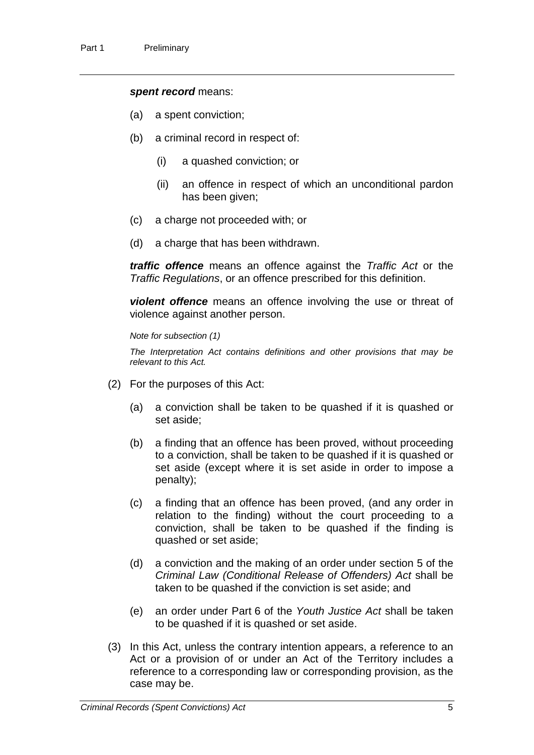#### *spent record* means:

- (a) a spent conviction;
- (b) a criminal record in respect of:
	- (i) a quashed conviction; or
	- (ii) an offence in respect of which an unconditional pardon has been given;
- (c) a charge not proceeded with; or
- (d) a charge that has been withdrawn.

*traffic offence* means an offence against the *Traffic Act* or the *Traffic Regulations*, or an offence prescribed for this definition.

*violent offence* means an offence involving the use or threat of violence against another person.

*Note for subsection (1)*

*The Interpretation Act contains definitions and other provisions that may be relevant to this Act.*

- (2) For the purposes of this Act:
	- (a) a conviction shall be taken to be quashed if it is quashed or set aside;
	- (b) a finding that an offence has been proved, without proceeding to a conviction, shall be taken to be quashed if it is quashed or set aside (except where it is set aside in order to impose a penalty);
	- (c) a finding that an offence has been proved, (and any order in relation to the finding) without the court proceeding to a conviction, shall be taken to be quashed if the finding is quashed or set aside;
	- (d) a conviction and the making of an order under section 5 of the *Criminal Law (Conditional Release of Offenders) Act* shall be taken to be quashed if the conviction is set aside; and
	- (e) an order under Part 6 of the *Youth Justice Act* shall be taken to be quashed if it is quashed or set aside.
- (3) In this Act, unless the contrary intention appears, a reference to an Act or a provision of or under an Act of the Territory includes a reference to a corresponding law or corresponding provision, as the case may be.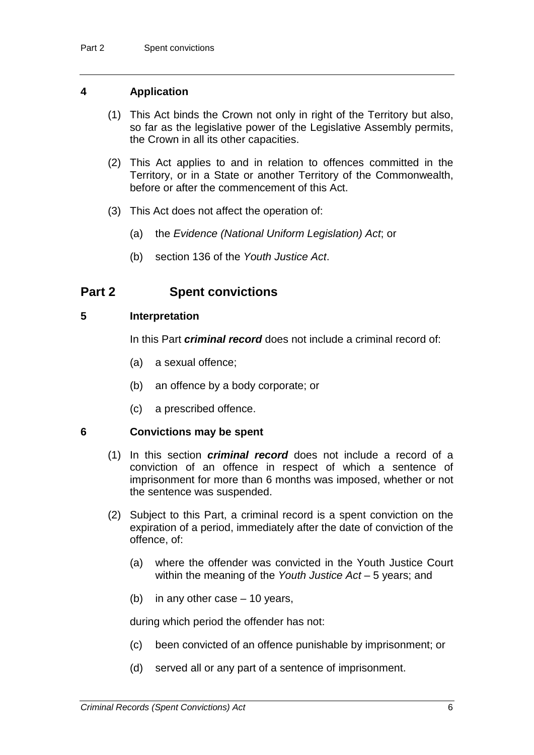## **4 Application**

- (1) This Act binds the Crown not only in right of the Territory but also, so far as the legislative power of the Legislative Assembly permits, the Crown in all its other capacities.
- (2) This Act applies to and in relation to offences committed in the Territory, or in a State or another Territory of the Commonwealth, before or after the commencement of this Act.
- (3) This Act does not affect the operation of:
	- (a) the *Evidence (National Uniform Legislation) Act*; or
	- (b) section 136 of the *Youth Justice Act*.

## **Part 2 Spent convictions**

## **5 Interpretation**

In this Part *criminal record* does not include a criminal record of:

- (a) a sexual offence;
- (b) an offence by a body corporate; or
- (c) a prescribed offence.

## **6 Convictions may be spent**

- (1) In this section *criminal record* does not include a record of a conviction of an offence in respect of which a sentence of imprisonment for more than 6 months was imposed, whether or not the sentence was suspended.
- (2) Subject to this Part, a criminal record is a spent conviction on the expiration of a period, immediately after the date of conviction of the offence, of:
	- (a) where the offender was convicted in the Youth Justice Court within the meaning of the *Youth Justice Act* – 5 years; and
	- (b) in any other case 10 years,

during which period the offender has not:

- (c) been convicted of an offence punishable by imprisonment; or
- (d) served all or any part of a sentence of imprisonment.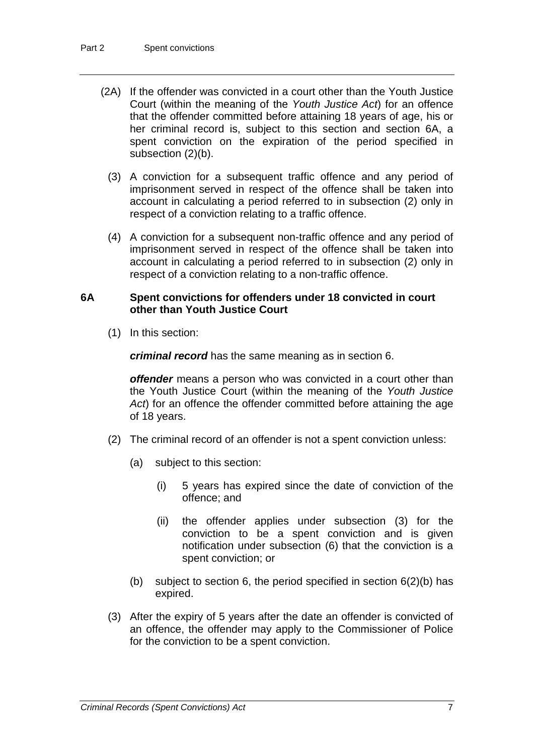- (2A) If the offender was convicted in a court other than the Youth Justice Court (within the meaning of the *Youth Justice Act*) for an offence that the offender committed before attaining 18 years of age, his or her criminal record is, subject to this section and section 6A, a spent conviction on the expiration of the period specified in subsection (2)(b).
	- (3) A conviction for a subsequent traffic offence and any period of imprisonment served in respect of the offence shall be taken into account in calculating a period referred to in subsection (2) only in respect of a conviction relating to a traffic offence.
	- (4) A conviction for a subsequent non-traffic offence and any period of imprisonment served in respect of the offence shall be taken into account in calculating a period referred to in subsection (2) only in respect of a conviction relating to a non-traffic offence.

## **6A Spent convictions for offenders under 18 convicted in court other than Youth Justice Court**

(1) In this section:

*criminal record* has the same meaning as in section 6.

*offender* means a person who was convicted in a court other than the Youth Justice Court (within the meaning of the *Youth Justice Act*) for an offence the offender committed before attaining the age of 18 years.

- (2) The criminal record of an offender is not a spent conviction unless:
	- (a) subject to this section:
		- (i) 5 years has expired since the date of conviction of the offence; and
		- (ii) the offender applies under subsection (3) for the conviction to be a spent conviction and is given notification under subsection (6) that the conviction is a spent conviction; or
	- (b) subject to section 6, the period specified in section  $6(2)(b)$  has expired.
- (3) After the expiry of 5 years after the date an offender is convicted of an offence, the offender may apply to the Commissioner of Police for the conviction to be a spent conviction.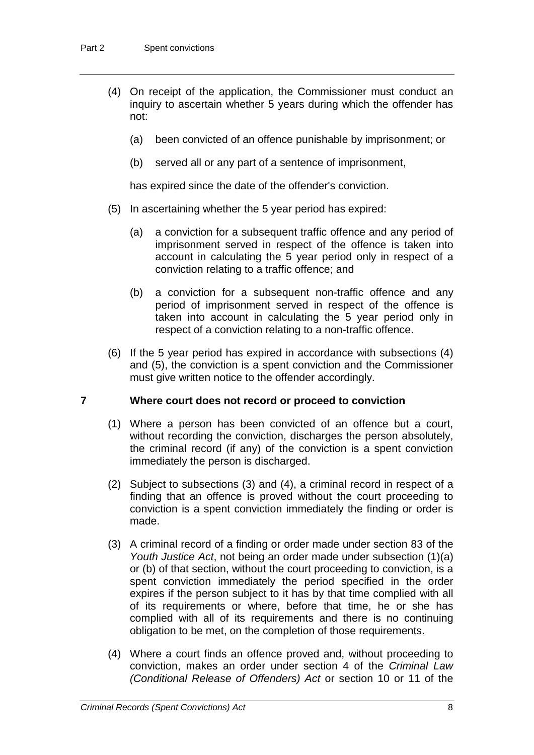- (4) On receipt of the application, the Commissioner must conduct an inquiry to ascertain whether 5 years during which the offender has not:
	- (a) been convicted of an offence punishable by imprisonment; or
	- (b) served all or any part of a sentence of imprisonment,

has expired since the date of the offender's conviction.

- (5) In ascertaining whether the 5 year period has expired:
	- (a) a conviction for a subsequent traffic offence and any period of imprisonment served in respect of the offence is taken into account in calculating the 5 year period only in respect of a conviction relating to a traffic offence; and
	- (b) a conviction for a subsequent non-traffic offence and any period of imprisonment served in respect of the offence is taken into account in calculating the 5 year period only in respect of a conviction relating to a non-traffic offence.
- (6) If the 5 year period has expired in accordance with subsections (4) and (5), the conviction is a spent conviction and the Commissioner must give written notice to the offender accordingly.

#### **7 Where court does not record or proceed to conviction**

- (1) Where a person has been convicted of an offence but a court, without recording the conviction, discharges the person absolutely, the criminal record (if any) of the conviction is a spent conviction immediately the person is discharged.
- (2) Subject to subsections (3) and (4), a criminal record in respect of a finding that an offence is proved without the court proceeding to conviction is a spent conviction immediately the finding or order is made.
- (3) A criminal record of a finding or order made under section 83 of the *Youth Justice Act*, not being an order made under subsection (1)(a) or (b) of that section, without the court proceeding to conviction, is a spent conviction immediately the period specified in the order expires if the person subject to it has by that time complied with all of its requirements or where, before that time, he or she has complied with all of its requirements and there is no continuing obligation to be met, on the completion of those requirements.
- (4) Where a court finds an offence proved and, without proceeding to conviction, makes an order under section 4 of the *Criminal Law (Conditional Release of Offenders) Act* or section 10 or 11 of the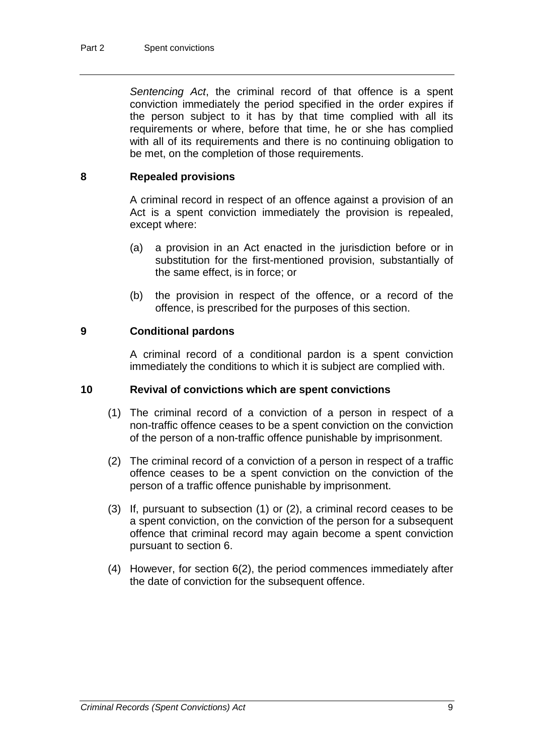*Sentencing Act*, the criminal record of that offence is a spent conviction immediately the period specified in the order expires if the person subject to it has by that time complied with all its requirements or where, before that time, he or she has complied with all of its requirements and there is no continuing obligation to be met, on the completion of those requirements.

## **8 Repealed provisions**

A criminal record in respect of an offence against a provision of an Act is a spent conviction immediately the provision is repealed, except where:

- (a) a provision in an Act enacted in the jurisdiction before or in substitution for the first-mentioned provision, substantially of the same effect, is in force; or
- (b) the provision in respect of the offence, or a record of the offence, is prescribed for the purposes of this section.

## **9 Conditional pardons**

A criminal record of a conditional pardon is a spent conviction immediately the conditions to which it is subject are complied with.

## **10 Revival of convictions which are spent convictions**

- (1) The criminal record of a conviction of a person in respect of a non-traffic offence ceases to be a spent conviction on the conviction of the person of a non-traffic offence punishable by imprisonment.
- (2) The criminal record of a conviction of a person in respect of a traffic offence ceases to be a spent conviction on the conviction of the person of a traffic offence punishable by imprisonment.
- (3) If, pursuant to subsection (1) or (2), a criminal record ceases to be a spent conviction, on the conviction of the person for a subsequent offence that criminal record may again become a spent conviction pursuant to section 6.
- (4) However, for section 6(2), the period commences immediately after the date of conviction for the subsequent offence.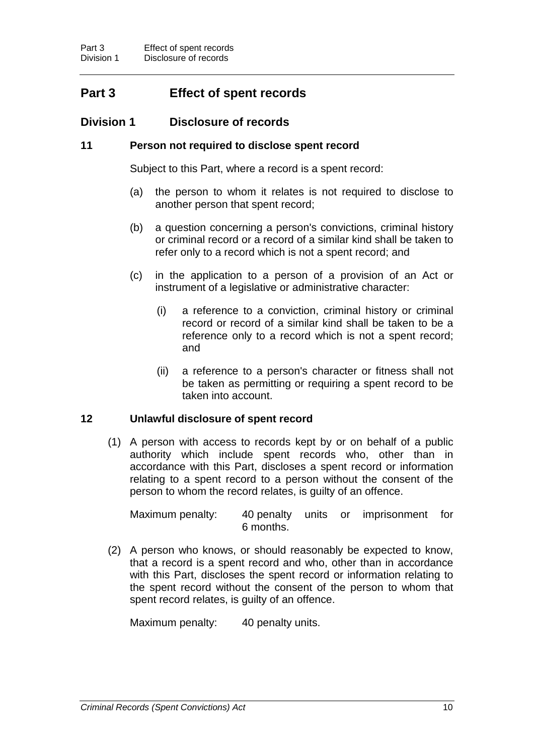# **Part 3 Effect of spent records**

## **Division 1 Disclosure of records**

## **11 Person not required to disclose spent record**

Subject to this Part, where a record is a spent record:

- (a) the person to whom it relates is not required to disclose to another person that spent record;
- (b) a question concerning a person's convictions, criminal history or criminal record or a record of a similar kind shall be taken to refer only to a record which is not a spent record; and
- (c) in the application to a person of a provision of an Act or instrument of a legislative or administrative character:
	- (i) a reference to a conviction, criminal history or criminal record or record of a similar kind shall be taken to be a reference only to a record which is not a spent record; and
	- (ii) a reference to a person's character or fitness shall not be taken as permitting or requiring a spent record to be taken into account.

## **12 Unlawful disclosure of spent record**

(1) A person with access to records kept by or on behalf of a public authority which include spent records who, other than in accordance with this Part, discloses a spent record or information relating to a spent record to a person without the consent of the person to whom the record relates, is guilty of an offence.

Maximum penalty: 40 penalty units or imprisonment for 6 months.

(2) A person who knows, or should reasonably be expected to know, that a record is a spent record and who, other than in accordance with this Part, discloses the spent record or information relating to the spent record without the consent of the person to whom that spent record relates, is guilty of an offence.

Maximum penalty: 40 penalty units.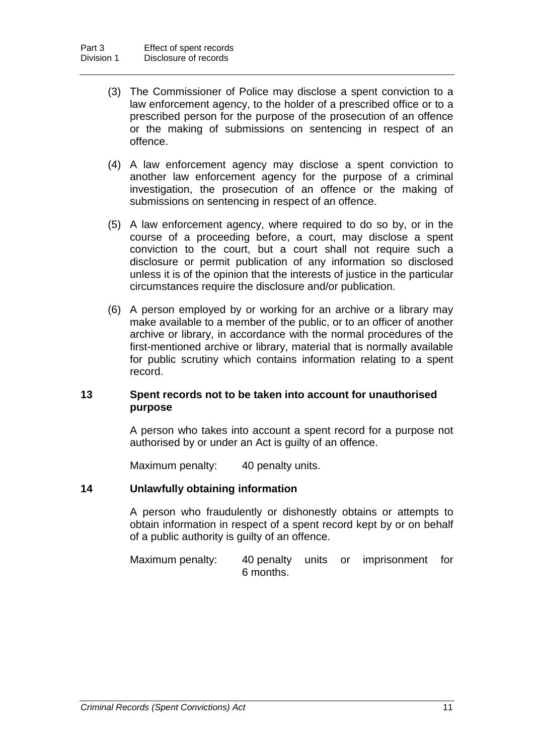- (3) The Commissioner of Police may disclose a spent conviction to a law enforcement agency, to the holder of a prescribed office or to a prescribed person for the purpose of the prosecution of an offence or the making of submissions on sentencing in respect of an offence.
- (4) A law enforcement agency may disclose a spent conviction to another law enforcement agency for the purpose of a criminal investigation, the prosecution of an offence or the making of submissions on sentencing in respect of an offence.
- (5) A law enforcement agency, where required to do so by, or in the course of a proceeding before, a court, may disclose a spent conviction to the court, but a court shall not require such a disclosure or permit publication of any information so disclosed unless it is of the opinion that the interests of justice in the particular circumstances require the disclosure and/or publication.
- (6) A person employed by or working for an archive or a library may make available to a member of the public, or to an officer of another archive or library, in accordance with the normal procedures of the first-mentioned archive or library, material that is normally available for public scrutiny which contains information relating to a spent record.

## **13 Spent records not to be taken into account for unauthorised purpose**

A person who takes into account a spent record for a purpose not authorised by or under an Act is guilty of an offence.

Maximum penalty: 40 penalty units.

## **14 Unlawfully obtaining information**

A person who fraudulently or dishonestly obtains or attempts to obtain information in respect of a spent record kept by or on behalf of a public authority is guilty of an offence.

Maximum penalty: 40 penalty units or imprisonment for 6 months.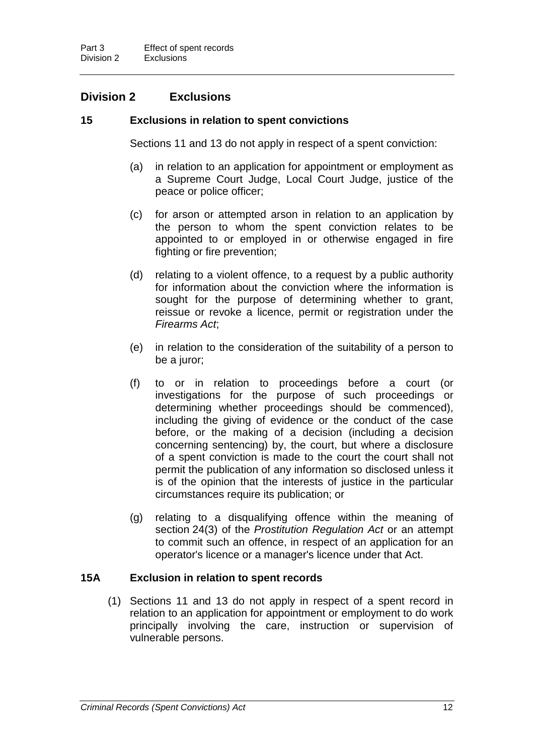## **Division 2 Exclusions**

## **15 Exclusions in relation to spent convictions**

Sections 11 and 13 do not apply in respect of a spent conviction:

- (a) in relation to an application for appointment or employment as a Supreme Court Judge, Local Court Judge, justice of the peace or police officer;
- (c) for arson or attempted arson in relation to an application by the person to whom the spent conviction relates to be appointed to or employed in or otherwise engaged in fire fighting or fire prevention;
- (d) relating to a violent offence, to a request by a public authority for information about the conviction where the information is sought for the purpose of determining whether to grant, reissue or revoke a licence, permit or registration under the *Firearms Act*;
- (e) in relation to the consideration of the suitability of a person to be a juror;
- (f) to or in relation to proceedings before a court (or investigations for the purpose of such proceedings or determining whether proceedings should be commenced), including the giving of evidence or the conduct of the case before, or the making of a decision (including a decision concerning sentencing) by, the court, but where a disclosure of a spent conviction is made to the court the court shall not permit the publication of any information so disclosed unless it is of the opinion that the interests of justice in the particular circumstances require its publication; or
- (g) relating to a disqualifying offence within the meaning of section 24(3) of the *Prostitution Regulation Act* or an attempt to commit such an offence, in respect of an application for an operator's licence or a manager's licence under that Act.

## **15A Exclusion in relation to spent records**

(1) Sections 11 and 13 do not apply in respect of a spent record in relation to an application for appointment or employment to do work principally involving the care, instruction or supervision of vulnerable persons.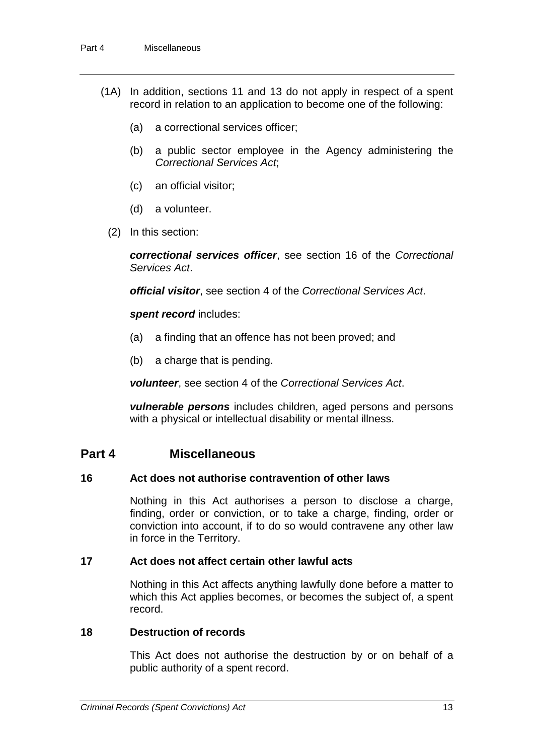- (1A) In addition, sections 11 and 13 do not apply in respect of a spent record in relation to an application to become one of the following:
	- (a) a correctional services officer;
	- (b) a public sector employee in the Agency administering the *Correctional Services Act*;
	- (c) an official visitor;
	- (d) a volunteer.
	- (2) In this section:

*correctional services officer*, see section 16 of the *Correctional Services Act*.

*official visitor*, see section 4 of the *Correctional Services Act*.

#### *spent record* includes:

- (a) a finding that an offence has not been proved; and
- (b) a charge that is pending.

*volunteer*, see section 4 of the *Correctional Services Act*.

*vulnerable persons* includes children, aged persons and persons with a physical or intellectual disability or mental illness.

## **Part 4 Miscellaneous**

## **16 Act does not authorise contravention of other laws**

Nothing in this Act authorises a person to disclose a charge, finding, order or conviction, or to take a charge, finding, order or conviction into account, if to do so would contravene any other law in force in the Territory.

## **17 Act does not affect certain other lawful acts**

Nothing in this Act affects anything lawfully done before a matter to which this Act applies becomes, or becomes the subject of, a spent record.

#### **18 Destruction of records**

This Act does not authorise the destruction by or on behalf of a public authority of a spent record.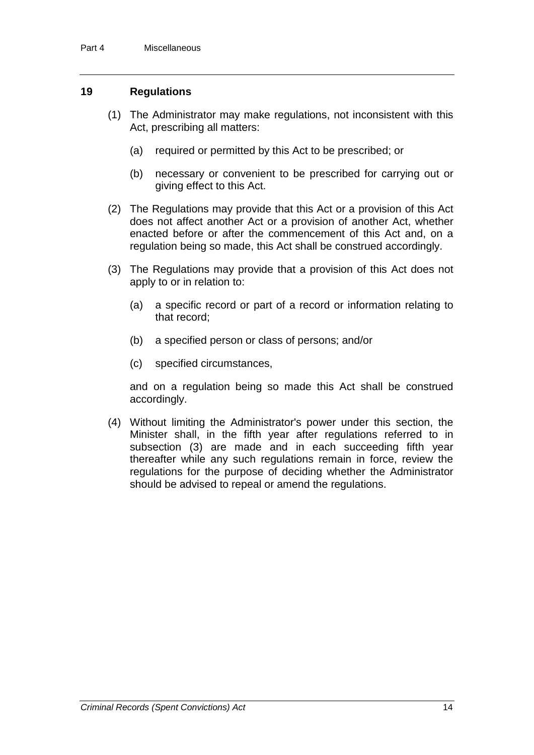## **19 Regulations**

- (1) The Administrator may make regulations, not inconsistent with this Act, prescribing all matters:
	- (a) required or permitted by this Act to be prescribed; or
	- (b) necessary or convenient to be prescribed for carrying out or giving effect to this Act.
- (2) The Regulations may provide that this Act or a provision of this Act does not affect another Act or a provision of another Act, whether enacted before or after the commencement of this Act and, on a regulation being so made, this Act shall be construed accordingly.
- (3) The Regulations may provide that a provision of this Act does not apply to or in relation to:
	- (a) a specific record or part of a record or information relating to that record;
	- (b) a specified person or class of persons; and/or
	- (c) specified circumstances,

and on a regulation being so made this Act shall be construed accordingly.

(4) Without limiting the Administrator's power under this section, the Minister shall, in the fifth year after regulations referred to in subsection (3) are made and in each succeeding fifth year thereafter while any such regulations remain in force, review the regulations for the purpose of deciding whether the Administrator should be advised to repeal or amend the regulations.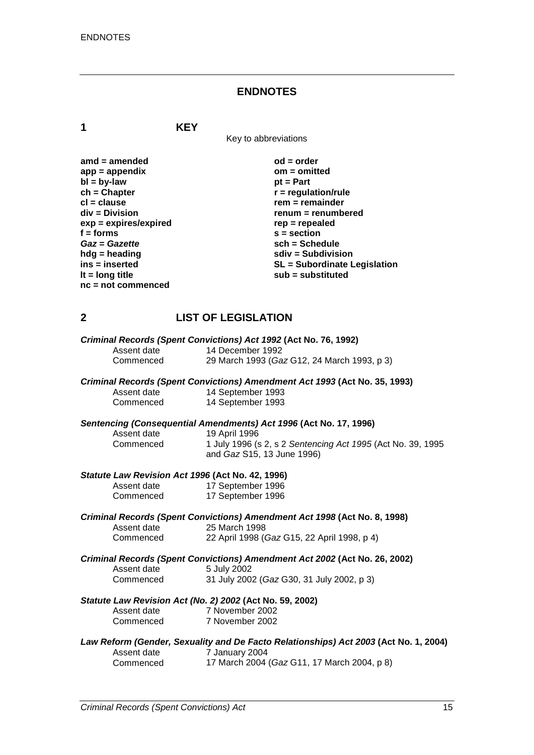#### **ENDNOTES**

**1 KEY**

Key to abbreviations

| $amd = amended$         | $od = order$                        |
|-------------------------|-------------------------------------|
| $app = appendix$        | $om = omitted$                      |
| $bl = by-law$           | $pt = Part$                         |
| $ch = Chapter$          | $r =$ regulation/rule               |
| $cl = clause$           | $rem = remainder$                   |
| div = Division          | renum = renumbered                  |
| $exp = expires/expired$ | $rep = repeated$                    |
| $f =$ forms             | $s = section$                       |
| Gaz = Gazette           | sch = Schedule                      |
| $h dg =$ heading        | $sdiv = Subdivision$                |
| $ins = inserted$        | <b>SL = Subordinate Legislation</b> |
| It = $long$ title       | sub = substituted                   |
| $nc = not$ commenced    |                                     |

## **2 LIST OF LEGISLATION**

| Criminal Records (Spent Convictions) Act 1992 (Act No. 76, 1992) |                                             |  |  |
|------------------------------------------------------------------|---------------------------------------------|--|--|
| Assent date                                                      | 14 December 1992                            |  |  |
| Commenced                                                        | 29 March 1993 (Gaz G12, 24 March 1993, p 3) |  |  |

#### *Criminal Records (Spent Convictions) Amendment Act 1993* **(Act No. 35, 1993)**

| Assent date | 14 September 1993 |
|-------------|-------------------|
| Commenced   | 14 September 1993 |

# *Sentencing (Consequential Amendments) Act 1996* **(Act No. 17, 1996)**

Assent date 19 April 1996<br>Commenced 1 July 1996 (s

# Commenced 1 July 1996 (s 2, s 2 *Sentencing Act 1995* (Act No. 39, 1995 and *Gaz* S15, 13 June 1996)

#### *Statute Law Revision Act 1996* **(Act No. 42, 1996)**

| Assent date | 17 September 1996 |
|-------------|-------------------|
| Commenced   | 17 September 1996 |

|             | Criminal Records (Spent Convictions) Amendment Act 1998 (Act No. 8, 1998) |
|-------------|---------------------------------------------------------------------------|
| Assent date | 25 March 1998                                                             |
| Commenced   | 22 April 1998 (Gaz G15, 22 April 1998, p 4)                               |

|             | Criminal Records (Spent Convictions) Amendment Act 2002 (Act No. 26, 2002) |
|-------------|----------------------------------------------------------------------------|
| Assent date | 5 July 2002                                                                |
| Commenced   | 31 July 2002 (Gaz G30, 31 July 2002, p 3)                                  |

#### *Statute Law Revision Act (No. 2) 2002* **(Act No. 59, 2002)** Assent dat

| Assent date | 7 November 2002 |
|-------------|-----------------|
| Commenced   | 7 November 2002 |

# *Law Reform (Gender, Sexuality and De Facto Relationships) Act 2003* **(Act No. 1, 2004)** Assent date 7 January 2004<br>Commenced 17 March 2004

17 March 2004 (*Gaz* G11, 17 March 2004, p 8)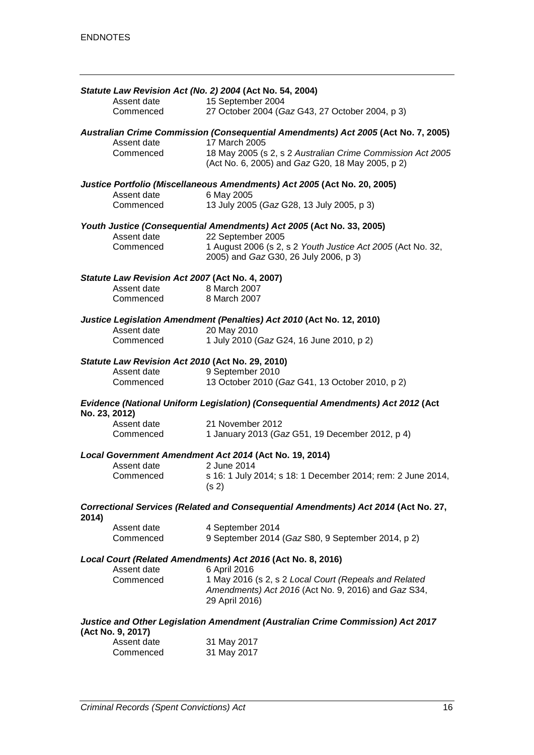|                                                                                                     |                          | Statute Law Revision Act (No. 2) 2004 (Act No. 54, 2004)                           |  |
|-----------------------------------------------------------------------------------------------------|--------------------------|------------------------------------------------------------------------------------|--|
|                                                                                                     | Assent date              | 15 September 2004                                                                  |  |
|                                                                                                     | Commenced                | 27 October 2004 (Gaz G43, 27 October 2004, p 3)                                    |  |
| Australian Crime Commission (Consequential Amendments) Act 2005 (Act No. 7, 2005)<br>17 March 2005  |                          |                                                                                    |  |
|                                                                                                     | Assent date<br>Commenced | 18 May 2005 (s 2, s 2 Australian Crime Commission Act 2005                         |  |
|                                                                                                     |                          | (Act No. 6, 2005) and Gaz G20, 18 May 2005, p 2)                                   |  |
|                                                                                                     |                          | Justice Portfolio (Miscellaneous Amendments) Act 2005 (Act No. 20, 2005)           |  |
|                                                                                                     | Assent date<br>Commenced | 6 May 2005                                                                         |  |
|                                                                                                     |                          | 13 July 2005 (Gaz G28, 13 July 2005, p 3)                                          |  |
|                                                                                                     | Assent date              | Youth Justice (Consequential Amendments) Act 2005 (Act No. 33, 2005)               |  |
|                                                                                                     | Commenced                | 22 September 2005<br>1 August 2006 (s 2, s 2 Youth Justice Act 2005 (Act No. 32,   |  |
|                                                                                                     |                          | 2005) and Gaz G30, 26 July 2006, p 3)                                              |  |
| Statute Law Revision Act 2007 (Act No. 4, 2007)                                                     |                          |                                                                                    |  |
|                                                                                                     | Assent date              | 8 March 2007                                                                       |  |
|                                                                                                     | Commenced                | 8 March 2007                                                                       |  |
|                                                                                                     |                          | Justice Legislation Amendment (Penalties) Act 2010 (Act No. 12, 2010)              |  |
|                                                                                                     | Assent date              | 20 May 2010                                                                        |  |
|                                                                                                     | Commenced                | 1 July 2010 (Gaz G24, 16 June 2010, p 2)                                           |  |
| Statute Law Revision Act 2010 (Act No. 29, 2010)                                                    |                          |                                                                                    |  |
|                                                                                                     | Assent date              | 9 September 2010                                                                   |  |
|                                                                                                     | Commenced                | 13 October 2010 (Gaz G41, 13 October 2010, p 2)                                    |  |
| Evidence (National Uniform Legislation) (Consequential Amendments) Act 2012 (Act<br>No. 23, 2012)   |                          |                                                                                    |  |
|                                                                                                     | Assent date              | 21 November 2012                                                                   |  |
|                                                                                                     | Commenced                | 1 January 2013 (Gaz G51, 19 December 2012, p 4)                                    |  |
|                                                                                                     |                          | Local Government Amendment Act 2014 (Act No. 19, 2014)                             |  |
|                                                                                                     | Assent date              | 2 June 2014                                                                        |  |
|                                                                                                     | Commenced                | s 16: 1 July 2014; s 18: 1 December 2014; rem: 2 June 2014,<br>(s <sub>2</sub> )   |  |
| 2014)                                                                                               |                          | Correctional Services (Related and Consequential Amendments) Act 2014 (Act No. 27, |  |
|                                                                                                     | Assent date              | 4 September 2014                                                                   |  |
|                                                                                                     | Commenced                | 9 September 2014 (Gaz S80, 9 September 2014, p 2)                                  |  |
| Local Court (Related Amendments) Act 2016 (Act No. 8, 2016)                                         |                          |                                                                                    |  |
|                                                                                                     | Assent date              | 6 April 2016                                                                       |  |
|                                                                                                     | Commenced                | 1 May 2016 (s 2, s 2 Local Court (Repeals and Related                              |  |
|                                                                                                     |                          | Amendments) Act 2016 (Act No. 9, 2016) and Gaz S34,<br>29 April 2016)              |  |
|                                                                                                     |                          |                                                                                    |  |
| Justice and Other Legislation Amendment (Australian Crime Commission) Act 2017<br>(Act No. 9, 2017) |                          |                                                                                    |  |
|                                                                                                     | Assent date              | 31 May 2017                                                                        |  |
|                                                                                                     | Commenced                | 31 May 2017                                                                        |  |
|                                                                                                     |                          |                                                                                    |  |